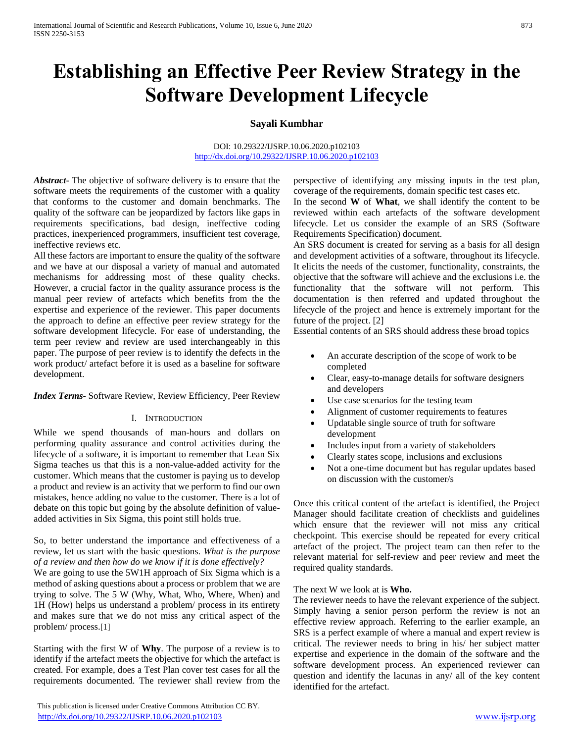# **Establishing an Effective Peer Review Strategy in the Software Development Lifecycle**

# **Sayali Kumbhar**

#### DOI: 10.29322/IJSRP.10.06.2020.p102103 <http://dx.doi.org/10.29322/IJSRP.10.06.2020.p102103>

*Abstract***-** The objective of software delivery is to ensure that the software meets the requirements of the customer with a quality that conforms to the customer and domain benchmarks. The quality of the software can be jeopardized by factors like gaps in requirements specifications, bad design, ineffective coding practices, inexperienced programmers, insufficient test coverage, ineffective reviews etc.

All these factors are important to ensure the quality of the software and we have at our disposal a variety of manual and automated mechanisms for addressing most of these quality checks. However, a crucial factor in the quality assurance process is the manual peer review of artefacts which benefits from the the expertise and experience of the reviewer. This paper documents the approach to define an effective peer review strategy for the software development lifecycle. For ease of understanding, the term peer review and review are used interchangeably in this paper. The purpose of peer review is to identify the defects in the work product/ artefact before it is used as a baseline for software development.

*Index Terms*- Software Review, Review Efficiency, Peer Review

# I. INTRODUCTION

While we spend thousands of man-hours and dollars on performing quality assurance and control activities during the lifecycle of a software, it is important to remember that Lean Six Sigma teaches us that this is a non-value-added activity for the customer. Which means that the customer is paying us to develop a product and review is an activity that we perform to find our own mistakes, hence adding no value to the customer. There is a lot of debate on this topic but going by the absolute definition of valueadded activities in Six Sigma, this point still holds true.

So, to better understand the importance and effectiveness of a review, let us start with the basic questions. *What is the purpose of a review and then how do we know if it is done effectively?* 

We are going to use the 5W1H approach of Six Sigma which is a method of asking questions about a process or problem that we are trying to solve. The 5 W (Why, What, Who, Where, When) and 1H (How) helps us understand a problem/ process in its entirety and makes sure that we do not miss any critical aspect of the problem/ process.[1]

Starting with the first W of **Why**. The purpose of a review is to identify if the artefact meets the objective for which the artefact is created. For example, does a Test Plan cover test cases for all the requirements documented. The reviewer shall review from the

 This publication is licensed under Creative Commons Attribution CC BY. <http://dx.doi.org/10.29322/IJSRP.10.06.2020.p102103> [www.ijsrp.org](http://ijsrp.org/)

perspective of identifying any missing inputs in the test plan, coverage of the requirements, domain specific test cases etc.

In the second **W** of **What**, we shall identify the content to be reviewed within each artefacts of the software development lifecycle. Let us consider the example of an SRS (Software Requirements Specification) document.

An SRS document is created for serving as a basis for all design and development activities of a software, throughout its lifecycle. It elicits the needs of the customer, functionality, constraints, the objective that the software will achieve and the exclusions i.e. the functionality that the software will not perform. This documentation is then referred and updated throughout the lifecycle of the project and hence is extremely important for the future of the project. [2]

Essential contents of an SRS should address these broad topics

- An accurate description of the scope of work to be completed
- Clear, easy-to-manage details for software designers and developers
- Use case scenarios for the testing team
- Alignment of customer requirements to features
- Updatable single source of truth for software development
- Includes input from a variety of stakeholders
- Clearly states scope, inclusions and exclusions
- Not a one-time document but has regular updates based on discussion with the customer/s

Once this critical content of the artefact is identified, the Project Manager should facilitate creation of checklists and guidelines which ensure that the reviewer will not miss any critical checkpoint. This exercise should be repeated for every critical artefact of the project. The project team can then refer to the relevant material for self-review and peer review and meet the required quality standards.

The next W we look at is **Who.**

The reviewer needs to have the relevant experience of the subject. Simply having a senior person perform the review is not an effective review approach. Referring to the earlier example, an SRS is a perfect example of where a manual and expert review is critical. The reviewer needs to bring in his/ her subject matter expertise and experience in the domain of the software and the software development process. An experienced reviewer can question and identify the lacunas in any/ all of the key content identified for the artefact.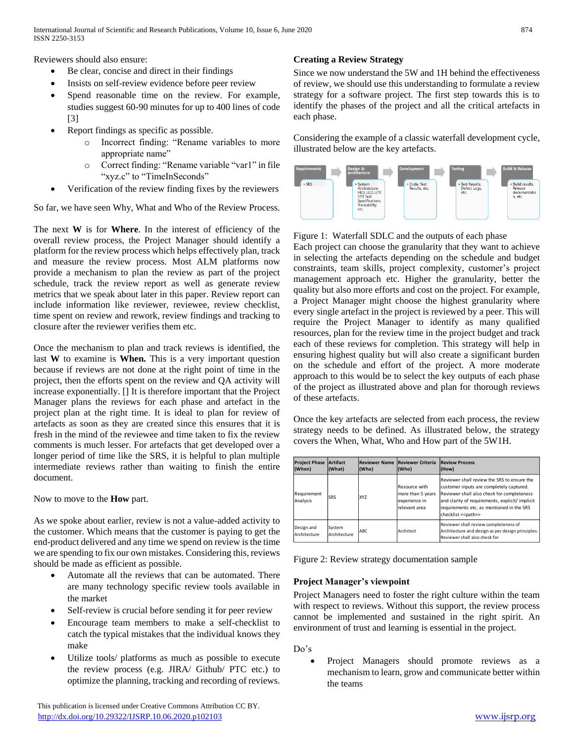Reviewers should also ensure:

- Be clear, concise and direct in their findings
- Insists on self-review evidence before peer review
- Spend reasonable time on the review. For example, studies suggest 60-90 minutes for up to 400 lines of code [3]
- Report findings as specific as possible.
	- o Incorrect finding: "Rename variables to more appropriate name"
	- o Correct finding: "Rename variable "var1" in file "xyz.c" to "TimeInSeconds"
- Verification of the review finding fixes by the reviewers

So far, we have seen Why, What and Who of the Review Process.

The next **W** is for **Where**. In the interest of efficiency of the overall review process, the Project Manager should identify a platform for the review process which helps effectively plan, track and measure the review process. Most ALM platforms now provide a mechanism to plan the review as part of the project schedule, track the review report as well as generate review metrics that we speak about later in this paper. Review report can include information like reviewer, reviewee, review checklist, time spent on review and rework, review findings and tracking to closure after the reviewer verifies them etc.

Once the mechanism to plan and track reviews is identified, the last **W** to examine is **When.** This is a very important question because if reviews are not done at the right point of time in the project, then the efforts spent on the review and QA activity will increase exponentially. [] It is therefore important that the Project Manager plans the reviews for each phase and artefact in the project plan at the right time. It is ideal to plan for review of artefacts as soon as they are created since this ensures that it is fresh in the mind of the reviewee and time taken to fix the review comments is much lesser. For artefacts that get developed over a longer period of time like the SRS, it is helpful to plan multiple intermediate reviews rather than waiting to finish the entire document.

Now to move to the **How** part.

As we spoke about earlier, review is not a value-added activity to the customer. Which means that the customer is paying to get the end-product delivered and any time we spend on review is the time we are spending to fix our own mistakes. Considering this, reviews should be made as efficient as possible.

- Automate all the reviews that can be automated. There are many technology specific review tools available in the market
- Self-review is crucial before sending it for peer review
- Encourage team members to make a self-checklist to catch the typical mistakes that the individual knows they make
- Utilize tools/ platforms as much as possible to execute the review process (e.g. JIRA/ Github/ PTC etc.) to optimize the planning, tracking and recording of reviews.

 This publication is licensed under Creative Commons Attribution CC BY. <http://dx.doi.org/10.29322/IJSRP.10.06.2020.p102103> [www.ijsrp.org](http://ijsrp.org/)

# **Creating a Review Strategy**

Since we now understand the 5W and 1H behind the effectiveness of review, we should use this understanding to formulate a review strategy for a software project. The first step towards this is to identify the phases of the project and all the critical artefacts in each phase.

Considering the example of a classic waterfall development cycle, illustrated below are the key artefacts.



Figure 1: Waterfall SDLC and the outputs of each phase Each project can choose the granularity that they want to achieve in selecting the artefacts depending on the schedule and budget constraints, team skills, project complexity, customer's project management approach etc. Higher the granularity, better the quality but also more efforts and cost on the project. For example, a Project Manager might choose the highest granularity where every single artefact in the project is reviewed by a peer. This will require the Project Manager to identify as many qualified resources, plan for the review time in the project budget and track each of these reviews for completion. This strategy will help in ensuring highest quality but will also create a significant burden on the schedule and effort of the project. A more moderate approach to this would be to select the key outputs of each phase of the project as illustrated above and plan for thorough reviews of these artefacts.

Once the key artefacts are selected from each process, the review strategy needs to be defined. As illustrated below, the strategy covers the When, What, Who and How part of the 5W1H.

| <b>Project Phase</b><br>(When)                                                                                                                                                                                                                                                                                | Artifact<br>(What)     | <b>Reviewer Name</b><br>(Who) | <b>Reviewer Criteria</b><br>(Who)                                    | <b>Review Process</b><br>(How)                                                                                                                                                                                                                               |
|---------------------------------------------------------------------------------------------------------------------------------------------------------------------------------------------------------------------------------------------------------------------------------------------------------------|------------------------|-------------------------------|----------------------------------------------------------------------|--------------------------------------------------------------------------------------------------------------------------------------------------------------------------------------------------------------------------------------------------------------|
| Requirement<br>Analysis                                                                                                                                                                                                                                                                                       | SRS                    | <b>XYZ</b>                    | Resource with<br>more than 5 years<br>experience in<br>relevant area | Reviewer shall review the SRS to ensure the<br>customer inputs are completely captured.<br>Reviewer shall also check for completeness<br>and clarity of requirements, explicit/ implicit<br>requirements etc. as mentioned in the SRS<br>checklist << path>> |
| Design and<br>Architecture                                                                                                                                                                                                                                                                                    | System<br>Architecture | ABC                           | Architect                                                            | Reviewer shall review completeness of<br>Architecture and design as per design principles.<br>Reviewer shall also check for                                                                                                                                  |
| <b>Project Manager's viewpoint</b><br>Project Managers need to foster the right culture within the team<br>with respect to reviews. Without this support, the review process<br>cannot be implemented and sustained in the right spirit. An<br>environment of trust and learning is essential in the project. |                        |                               |                                                                      |                                                                                                                                                                                                                                                              |
| Do's                                                                                                                                                                                                                                                                                                          | the teams              |                               |                                                                      | Project Managers should promote reviews<br>as a<br>mechanism to learn, grow and communicate better within                                                                                                                                                    |

# **Project Manager's viewpoint**